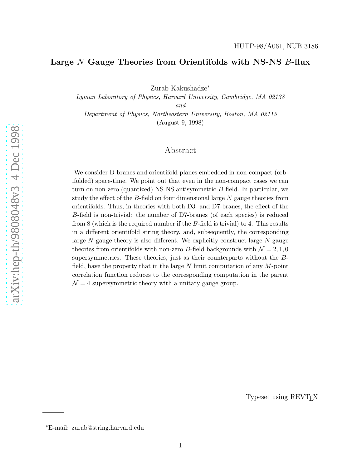# Large N Gauge Theories from Orientifolds with NS-NS B-flux

Zurab Kakushadze ∗

Lyman Laboratory of Physics, Harvard University, Cambridge, MA 02138 and Department of Physics, Northeastern University, Boston, MA 02115

(August 9, 1998)

# Abstract

We consider D-branes and orientifold planes embedded in non-compact (orbifolded) space-time. We point out that even in the non-compact cases we can turn on non-zero (quantized) NS-NS antisymmetric B-field. In particular, we study the effect of the B-field on four dimensional large N gauge theories from orientifolds. Thus, in theories with both D3- and D7-branes, the effect of the B-field is non-trivial: the number of D7-branes (of each species) is reduced from 8 (which is the required number if the B-field is trivial) to 4. This results in a different orientifold string theory, and, subsequently, the corresponding large N gauge theory is also different. We explicitly construct large N gauge theories from orientifolds with non-zero B-field backgrounds with  $\mathcal{N} = 2, 1, 0$ supersymmetries. These theories, just as their counterparts without the  $B$ field, have the property that in the large N limit computation of any M-point correlation function reduces to the corresponding computation in the parent  $\mathcal{N} = 4$  supersymmetric theory with a unitary gauge group.

Typeset using REVT<sub>F</sub>X

<sup>∗</sup>E-mail: zurab@string.harvard.edu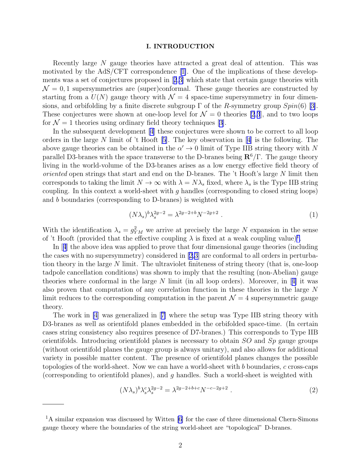#### I. INTRODUCTION

Recently large N gauge theories have attracted a great deal of attention. This was motivated by the AdS/CFT correspondence[[1\]](#page-21-0). One of the implications of these developments was a set of conjectures proposed in[[2](#page-21-0),[3\]](#page-21-0) which state that certain gauge theories with  $\mathcal{N} = 0, 1$  supersymmetries are (super)conformal. These gauge theories are constructed by starting from a  $U(N)$  gauge theory with  $\mathcal{N} = 4$  space-time supersymmetry in four dimensions,and orbifolding by a finite discrete subgroup  $\Gamma$  of the R-symmetry group  $Spin(6)$  [[3\]](#page-21-0). These conjectures were shown at one-loop level for  $\mathcal{N} = 0$  theories [\[2](#page-21-0),[3](#page-21-0)], and to two loops for  $\mathcal{N} = 1$  theories using ordinary field theory techniques [\[3\]](#page-21-0).

In the subsequent development [\[4\]](#page-21-0) these conjectures were shown to be correct to all loop ordersin the large N limit of 't Hooft [[5\]](#page-21-0). The key observation in [\[4\]](#page-21-0) is the following. The above gauge theories can be obtained in the  $\alpha' \to 0$  limit of Type IIB string theory with N parallel D3-branes with the space transverse to the D-branes being  $\mathbb{R}^6/\Gamma$ . The gauge theory living in the world-volume of the D3-branes arises as a low energy effective field theory of oriented open strings that start and end on the D-branes. The 't Hooft's large N limit then corresponds to taking the limit  $N \to \infty$  with  $\lambda = N\lambda_s$  fixed, where  $\lambda_s$  is the Type IIB string coupling. In this context a world-sheet with g handles (corresponding to closed string loops) and b boundaries (corresponding to D-branes) is weighted with

$$
(N\lambda_s)^b \lambda_s^{2g-2} = \lambda^{2g-2+b} N^{-2g+2} . \tag{1}
$$

With the identification  $\lambda_s = g_{YM}^2$  we arrive at precisely the large N expansion in the sense of 't Hooft (provided that the effective coupling  $\lambda$  is fixed at a weak coupling value)<sup>1</sup>.

In[[4](#page-21-0)] the above idea was applied to prove that four dimensional gauge theories (including the cases with no supersymmetry) considered in [\[2,3](#page-21-0)] are conformal to all orders in perturbation theory in the large N limit. The ultraviolet finiteness of string theory (that is, one-loop tadpole cancellation conditions) was shown to imply that the resulting (non-Abelian) gauge theorieswhere conformal in the large N limit (in all loop orders). Moreover, in [[4\]](#page-21-0) it was also proven that computation of any correlation function in these theories in the large N limit reduces to the corresponding computation in the parent  $\mathcal{N}=4$  supersymmetric gauge theory.

The work in [\[4](#page-21-0)] was generalized in[[7\]](#page-21-0) where the setup was Type IIB string theory with D3-branes as well as orientifold planes embedded in the orbifolded space-time. (In certain cases string consistency also requires presence of D7-branes.) This corresponds to Type IIB orientifolds. Introducing orientifold planes is necessary to obtain  $SO$  and  $Sp$  gauge groups (without orientifold planes the gauge group is always unitary), and also allows for additional variety in possible matter content. The presence of orientifold planes changes the possible topologies of the world-sheet. Now we can have a world-sheet with b boundaries,  $c$  cross-caps (corresponding to orientifold planes), and  $q$  handles. Such a world-sheet is weighted with

$$
(N\lambda_s)^b \lambda_s^c \lambda_s^{2g-2} = \lambda^{2g-2+b+c} N^{-c-2g+2} . \tag{2}
$$

<sup>&</sup>lt;sup>1</sup>A similar expansion was discussed by Witten [\[6\]](#page-21-0) for the case of three dimensional Chern-Simons gauge theory where the boundaries of the string world-sheet are "topological" D-branes.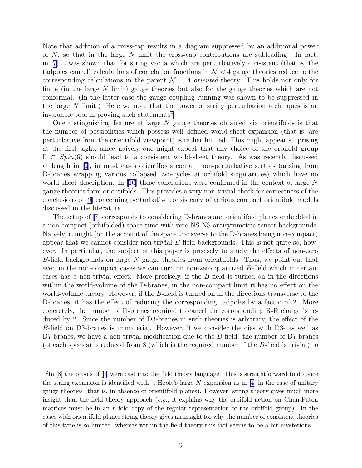Note that addition of a cross-cap results in a diagram suppressed by an additional power of  $N$ , so that in the large  $N$  limit the cross-cap contributions are subleading. In fact, in[[7\]](#page-21-0) it was shown that for string vacua which are perturbatively consistent (that is, the tadpoles cancel) calculations of correlation functions in  $\mathcal{N}$  < 4 gauge theories reduce to the corresponding calculations in the parent  $\mathcal{N} = 4$  oriented theory. This holds not only for finite (in the large N limit) gauge theories but also for the gauge theories which are not conformal. (In the latter case the gauge coupling running was shown to be suppressed in the large  $N$  limit.) Here we note that the power of string perturbation techniques is an invaluable tool in proving such statements<sup>2</sup>.

One distinguishing feature of large  $N$  gauge theories obtained via orientifolds is that the number of possibilities which possess well defined world-sheet expansion (that is, are perturbative from the orientifold viewpoint) is rather limited. This might appear surprising at the first sight, since naively one might expect that any choice of the orbifold group  $\Gamma \subset Spin(6)$  should lead to a consistent world-sheet theory. As was recently discussed at length in[[9](#page-21-0)], in most cases orientifolds contain non-perturbative sectors (arising from D-branes wrapping various collapsed two-cycles at orbifold singularities) which have no world-sheet description. In [\[10](#page-21-0)] these conclusions were confirmed in the context of large  $N$ gauge theories from orientifolds. This provides a very non-trivial check for correctness of the conclusions of [\[9\]](#page-21-0) concerning perturbative consistency of various compact orientifold models discussed in the literature.

The setup of [\[7\]](#page-21-0) corresponds to considering D-branes and orientifold planes embedded in a non-compact (orbifolded) space-time with zero NS-NS antisymmetric tensor backgrounds. Naively, it might (on the account of the space transverse to the D-branes being non-compact) appear that we cannot consider non-trivial B-field backgrounds. This is not quite so, however. In particular, the subject of this paper is precisely to study the effects of non-zero B-field backgrounds on large  $N$  gauge theories from orientifolds. Thus, we point out that even in the non-compact cases we can turn on non-zero quantized B-field which in certain cases has a non-trivial effect. More precisely, if the B-field is turned on in the directions within the world-volume of the D-branes, in the non-compact limit it has no effect on the world-volume theory. However, if the B-field is turned on in the directions transverse to the D-branes, it has the effect of reducing the corresponding tadpoles by a factor of 2. More concretely, the number of D-branes required to cancel the corresponding R-R charge is reduced by 2. Since the number of D3-branes in such theories is arbitrary, the effect of the B-field on D3-branes is immaterial. However, if we consider theories with D3- as well as D7-branes, we have a non-trivial modification due to the B-field: the number of D7-branes (of each species) is reduced from 8 (which is the required number if the B-field is trivial) to

 $2\text{In}$ [[8](#page-21-0)] the proofs of [[4\]](#page-21-0) were cast into the field theory language. This is straightforward to do once the string expansion is identified with 't Hooft's large  $N$  expansion as in [\[4\]](#page-21-0) in the case of unitary gauge theories (that is, in absence of orientifold planes). However, string theory gives much more insight than the field theory approach  $(e.g., it$  explains why the orbifold action on Chan-Paton matrices must be in an *n*-fold copy of the regular representation of the orbifold group). In the cases with orientifold planes string theory gives an insight for why the number of consistent theories of this type is so limited, whereas within the field theory this fact seems to be a bit mysterious.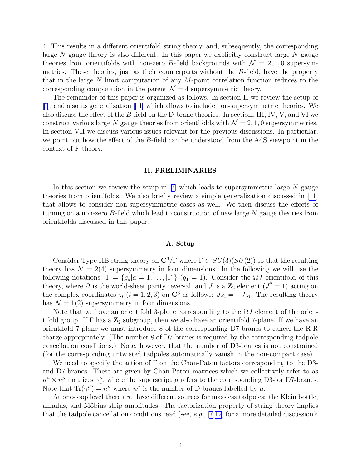4. This results in a different orientifold string theory, and, subsequently, the corresponding large  $N$  gauge theory is also different. In this paper we explicitly construct large  $N$  gauge theories from orientifolds with non-zero B-field backgrounds with  $\mathcal{N} = 2, 1, 0$  supersymmetries. These theories, just as their counterparts without the B-field, have the property that in the large N limit computation of any  $M$ -point correlation function reduces to the corresponding computation in the parent  $\mathcal{N}=4$  supersymmetric theory.

The remainder of this paper is organized as follows. In section II we review the setup of [\[7](#page-21-0)], and also its generalization[[11\]](#page-21-0) which allows to include non-supersymmetric theories. We also discuss the effect of the B-field on the D-brane theories. In sections III, IV, V, and VI we construct various large N gauge theories from orientifolds with  $\mathcal{N} = 2, 1, 0$  supersymmetries. In section VII we discuss various issues relevant for the previous discussions. In particular, we point out how the effect of the B-field can be understood from the AdS viewpoint in the context of F-theory.

### II. PRELIMINARIES

Inthis section we review the setup in  $|7|$  which leads to supersymmetric large N gauge theories from orientifolds. We also briefly review a simple generalization discussed in [\[11](#page-21-0)] that allows to consider non-supersymmetric cases as well. We then discuss the effects of turning on a non-zero  $B$ -field which lead to construction of new large  $N$  gauge theories from orientifolds discussed in this paper.

### A. Setup

Consider Type IIB string theory on  $\mathbb{C}^3/\Gamma$  where  $\Gamma \subset SU(3)(SU(2))$  so that the resulting theory has  $\mathcal{N} = 2(4)$  supersymmetry in four dimensions. In the following we will use the following notations:  $\Gamma = \{g_a | a = 1, \ldots, |\Gamma|\}$   $(g_1 = 1)$ . Consider the  $\Omega J$  orientifold of this theory, where  $\Omega$  is the world-sheet parity reversal, and J is a  $\mathbb{Z}_2$  element  $(J^2 = 1)$  acting on the complex coordinates  $z_i$   $(i = 1, 2, 3)$  on  $\mathbb{C}^3$  as follows:  $Jz_i = -Jz_i$ . The resulting theory has  $\mathcal{N} = 1(2)$  supersymmetry in four dimensions.

Note that we have an orientifold 3-plane corresponding to the  $\Omega J$  element of the orientifold group. If  $\Gamma$  has a  $\mathbb{Z}_2$  subgroup, then we also have an orientifold 7-plane. If we have an orientifold 7-plane we must introduce 8 of the corresponding D7-branes to cancel the R-R charge appropriately. (The number 8 of D7-branes is required by the corresponding tadpole cancellation conditions.) Note, however, that the number of D3-branes is not constrained (for the corresponding untwisted tadpoles automatically vanish in the non-compact case).

We need to specify the action of  $\Gamma$  on the Chan-Paton factors corresponding to the D3and D7-branes. These are given by Chan-Paton matrices which we collectively refer to as  $n^{\mu} \times n^{\mu}$  matrices  $\gamma_a^{\mu}$ , where the superscript  $\mu$  refers to the corresponding D3- or D7-branes. Note that  $\text{Tr}(\gamma_1^{\mu}) = n^{\mu}$  where  $n^{\mu}$  is the number of D-branes labelled by  $\mu$ .

At one-loop level there are three different sources for massless tadpoles: the Klein bottle, annulus, and Möbius strip amplitudes. The factorization property of string theory implies that the tadpole cancellation conditions read (see, e.g.,  $[7,12]$  $[7,12]$  $[7,12]$  for a more detailed discussion):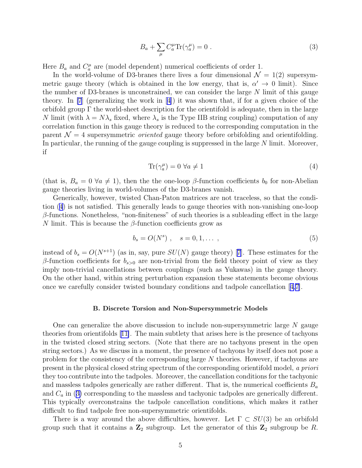$$
B_a + \sum_{\mu} C_a^{\mu} \text{Tr}(\gamma_a^{\mu}) = 0 \tag{3}
$$

<span id="page-4-0"></span>Here  $B_a$  and  $C_a^{\mu}$  are (model dependent) numerical coefficients of order 1.

In the world-volume of D3-branes there lives a four dimensional  $\mathcal{N} = 1(2)$  supersymmetric gauge theory (which is obtained in the low energy, that is,  $\alpha' \to 0$  limit). Since the number of D3-branes is unconstrained, we can consider the large N limit of this gauge theory. In [\[7](#page-21-0)] (generalizing the work in[[4\]](#page-21-0)) it was shown that, if for a given choice of the orbifold group  $\Gamma$  the world-sheet description for the orientifold is adequate, then in the large N limit (with  $\lambda = N\lambda_s$  fixed, where  $\lambda_s$  is the Type IIB string coupling) computation of any correlation function in this gauge theory is reduced to the corresponding computation in the parent  $\mathcal{N} = 4$  supersymmetric *oriented* gauge theory before orbifolding and orientifolding. In particular, the running of the gauge coupling is suppressed in the large N limit. Moreover, if

$$
\text{Tr}(\gamma_a^{\mu}) = 0 \,\forall a \neq 1 \tag{4}
$$

(that is,  $B_a = 0 \,\forall a \neq 1$ ), then the the one-loop  $\beta$ -function coefficients  $b_0$  for non-Abelian gauge theories living in world-volumes of the D3-branes vanish.

Generically, however, twisted Chan-Paton matrices are not traceless, so that the condition (4) is not satisfied. This generally leads to gauge theories with non-vanishing one-loop  $\beta$ -functions. Nonetheless, "non-finiteness" of such theories is a subleading effect in the large N limit. This is because the  $\beta$ -function coefficients grow as

$$
b_s = O(N^s) \; , \quad s = 0, 1, \dots \; , \tag{5}
$$

insteadof  $b_s = O(N^{s+1})$  (as in, say, pure  $SU(N)$  gauge theory) [[7](#page-21-0)]. These estimates for the β-function coefficients for  $b_{s>0}$  are non-trivial from the field theory point of view as they imply non-trivial cancellations between couplings (such as Yukawas) in the gauge theory. On the other hand, within string perturbation expansion these statements become obvious once we carefully consider twisted boundary conditions and tadpole cancellation[[4,7\]](#page-21-0).

### B. Discrete Torsion and Non-Supersymmetric Models

One can generalize the above discussion to include non-supersymmetric large  $N$  gauge theories from orientifolds[[11\]](#page-21-0). The main subtlety that arises here is the presence of tachyons in the twisted closed string sectors. (Note that there are no tachyons present in the open string sectors.) As we discuss in a moment, the presence of tachyons by itself does not pose a problem for the consistency of the corresponding large N theories. However, if tachyons are present in the physical closed string spectrum of the corresponding orientifold model, a priori they too contribute into the tadpoles. Moreover, the cancellation conditions for the tachyonic and massless tadpoles generically are rather different. That is, the numerical coefficients  $B_a$ and  $C_a$  in (3) corresponding to the massless and tachyonic tadpoles are generically different. This typically overconstrains the tadpole cancellation conditions, which makes it rather difficult to find tadpole free non-supersymmetric orientifolds.

There is a way around the above difficulties, however. Let  $\Gamma \subset SU(3)$  be an orbifold group such that it contains a  $\mathbb{Z}_2$  subgroup. Let the generator of this  $\mathbb{Z}_2$  subgroup be R.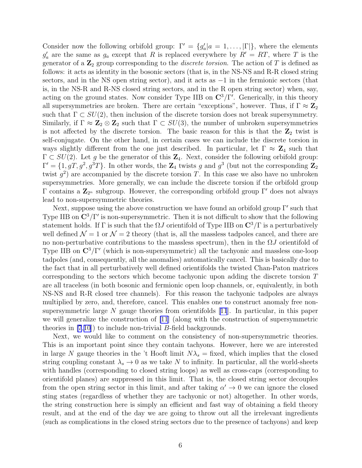Consider now the following orbifold group:  $\Gamma' = \{g'_c\}$  $a'_a|a = 1, \ldots, |\Gamma|\},\$  where the elements  $g'_{c}$  $a_a$  are the same as  $g_a$  except that R is replaced everywhere by  $R' = RT$ , where T is the generator of a  $\mathbb{Z}_2$  group corresponding to the *discrete torsion*. The action of T is defined as follows: it acts as identity in the bosonic sectors (that is, in the NS-NS and R-R closed string sectors, and in the NS open string sector), and it acts as  $-1$  in the fermionic sectors (that is, in the NS-R and R-NS closed string sectors, and in the R open string sector) when, say, acting on the ground states. Now consider Type IIB on  $\mathbb{C}^3/\Gamma'$ . Generically, in this theory all supersymmetries are broken. There are certain "exceptions", however. Thus, if  $\Gamma \approx \mathbb{Z}_2$ such that  $\Gamma \subset SU(2)$ , then inclusion of the discrete torsion does not break supersymmetry. Similarly, if  $\Gamma \approx \mathbb{Z}_2 \otimes \mathbb{Z}_2$  such that  $\Gamma \subset SU(3)$ , the number of unbroken supersymmetries is not affected by the discrete torsion. The basic reason for this is that the  $\mathbb{Z}_2$  twist is self-conjugate. On the other hand, in certain cases we can include the discrete torsion in ways slightly different from the one just described. In particular, let  $\Gamma \approx \mathbb{Z}_4$  such that  $\Gamma \subset SU(2)$ . Let g be the generator of this  $\mathbb{Z}_4$ . Next, consider the following orbifold group:  $\Gamma' = \{1, gT, g^2, g^3T\}$ . In other words, the  $\mathbb{Z}_4$  twists g and  $g^3$  (but not the corresponding  $\mathbb{Z}_2$ twist  $g^2$ ) are accompanied by the discrete torsion T. In this case we also have no unbroken supersymmetries. More generally, we can include the discrete torsion if the orbifold group Γ contains a  $\mathbb{Z}_{2^n}$  subgroup. However, the corresponding orbifold group Γ' does not always lead to non-supersymmetric theories.

Next, suppose using the above construction we have found an orbifold group Γ' such that Type IIB on  $\mathbb{C}^3/\Gamma'$  is non-supersymmetric. Then it is not difficult to show that the following statement holds. If Γ is such that the  $\Omega J$  orientifold of Type IIB on  $\mathbb{C}^3/\Gamma$  is a perturbatively well defined  $\mathcal{N} = 1$  or  $\mathcal{N} = 2$  theory (that is, all the massless tadpoles cancel, and there are no non-perturbative contributions to the massless spectrum), then in the  $\Omega J$  orientifold of Type IIB on  $\mathbb{C}^3/\Gamma'$  (which is non-supersymmetric) all the tachyonic and massless one-loop tadpoles (and, consequently, all the anomalies) automatically cancel. This is basically due to the fact that in all perturbatively well defined orientifolds the twisted Chan-Paton matrices corresponding to the sectors which become tachyonic upon adding the discrete torsion T are all traceless (in both bosonic and fermionic open loop channels, or, equivalently, in both NS-NS and R-R closed tree channels). For this reason the tachyonic tadpoles are always multiplied by zero, and, therefore, cancel. This enables one to construct anomaly free nonsupersymmetriclarge  $N$  gauge theories from orientifolds [[11](#page-21-0)]. In particular, in this paper we will generalize the construction of [\[11](#page-21-0)] (along with the construction of supersymmetric theories in [\[7](#page-21-0),[10](#page-21-0)]) to include non-trivial B-field backgrounds.

Next, we would like to comment on the consistency of non-supersymmetric theories. This is an important point since they contain tachyons. However, here we are interested in large N gauge theories in the 't Hooft limit  $N\lambda_s =$  fixed, which implies that the closed string coupling constant  $\lambda_s \to 0$  as we take N to infinity. In particular, all the world-sheets with handles (corresponding to closed string loops) as well as cross-caps (corresponding to orientifold planes) are suppressed in this limit. That is, the closed string sector decouples from the open string sector in this limit, and after taking  $\alpha' \to 0$  we can ignore the closed sting states (regardless of whether they are tachyonic or not) altogether. In other words, the string construction here is simply an efficient and fast way of obtaining a field theory result, and at the end of the day we are going to throw out all the irrelevant ingredients (such as complications in the closed string sectors due to the presence of tachyons) and keep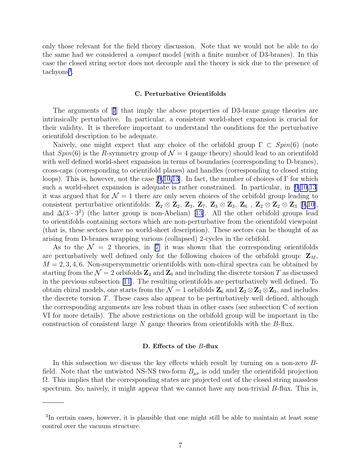only those relevant for the field theory discussion. Note that we would not be able to do the same had we considered a compact model (with a finite number of D3-branes). In this case the closed string sector does not decouple and the theory is sick due to the presence of tachyons<sup>3</sup>.

## C. Perturbative Orientifolds

The arguments of[[7](#page-21-0)] that imply the above properties of D3-brane gauge theories are intrinsically perturbative. In particular, a consistent world-sheet expansion is crucial for their validity. It is therefore important to understand the conditions for the perturbative orientifold description to be adequate.

Naively, one might expect that any choice of the orbifold group  $\Gamma \subset Spin(6)$  (note that  $Spin(6)$  is the R-symmetry group of  $\mathcal{N}=4$  gauge theory) should lead to an orientifold with well defined world-sheet expansion in terms of boundaries (corresponding to D-branes), cross-caps (corresponding to orientifold planes) and handles (corresponding to closed string loops). This is, however, not the case [\[9,10,13\]](#page-21-0). In fact, the number of choices of  $\Gamma$  for which such a world-sheet expansion is adequate is rather constrained. In particular, in [\[9,10,13](#page-21-0)] it was argued that for  $\mathcal{N} = 1$  there are only seven choices of the orbifold group leading to consistent perturbative orientifolds:  $\mathbb{Z}_2 \otimes \mathbb{Z}_2$ ,  $\mathbb{Z}_3$ ,  $\mathbb{Z}_7$ ,  $\mathbb{Z}_3 \otimes \mathbb{Z}_3$ ,  $\mathbb{Z}_6$ ,  $\mathbb{Z}_2 \otimes \mathbb{Z}_2 \otimes \mathbb{Z}_3$  [[9,10\]](#page-21-0), and $\Delta(3 \cdot 3^2)$  (the latter group is non-Abelian) [[13\]](#page-21-0). All the other orbifold groups lead to orientifolds containing sectors which are non-perturbative from the orientifold viewpoint (that is, these sectors have no world-sheet description). These sectors can be thought of as arising from D-branes wrapping various (collapsed) 2-cycles in the orbifold.

As to the  $\mathcal{N} = 2$  theories, in [\[7\]](#page-21-0) it was shown that the corresponding orientifolds are perturbatively well defined only for the following choices of the orbifold group:  $\mathbf{Z}_M$ ,  $M = 2, 3, 4, 6$ . Non-supersymmetric orientifolds with non-chiral spectra can be obtained by starting from the  $\mathcal{N} = 2$  orbifolds  $\mathbb{Z}_4$  and  $\mathbb{Z}_6$  and including the discrete torsion T as discussed in the previous subsection [\[11\]](#page-21-0). The resulting orientifolds are perturbatively well defined. To obtain chiral models, one starts from the  $\mathcal{N} = 1$  orbifolds  $\mathbb{Z}_6$  and  $\mathbb{Z}_2 \otimes \mathbb{Z}_2 \otimes \mathbb{Z}_3$ , and includes the discrete torsion  $T$ . These cases also appear to be perturbatively well defined, although the corresponding arguments are less robust than in other cases (see subsection C of section VI for more details). The above restrictions on the orbifold group will be important in the construction of consistent large N gauge theories from orientifolds with the B-flux.

### D. Effects of the B-flux

In this subsection we discuss the key effects which result by turning on a non-zero Bfield. Note that the untwisted NS-NS two-form  $B_{\mu\nu}$  is odd under the orientifold projection  $\Omega$ . This implies that the corresponding states are projected out of the closed string massless spectrum. So, naively, it might appear that we cannot have any non-trivial B-flux. This is,

<sup>3</sup> In certain cases, however, it is plausible that one might still be able to maintain at least some control over the vacuum structure.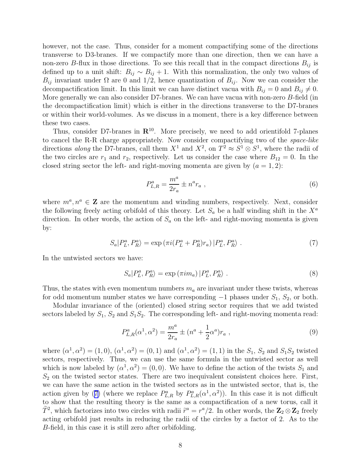however, not the case. Thus, consider for a moment compactifying some of the directions transverse to D3-branes. If we compactify more than one direction, then we can have a non-zero B-flux in those directions. To see this recall that in the compact directions  $B_{ij}$  is defined up to a unit shift:  $B_{ij} \sim B_{ij} + 1$ . With this normalization, the only two values of  $B_{ij}$  invariant under  $\Omega$  are 0 and 1/2, hence quantization of  $B_{ij}$ . Now we can consider the decompactification limit. In this limit we can have distinct vacua with  $B_{ij} = 0$  and  $B_{ij} \neq 0$ . More generally we can also consider D7-branes. We can have vacua with non-zero  $B$ -field (in the decompactification limit) which is either in the directions transverse to the D7-branes or within their world-volumes. As we discuss in a moment, there is a key difference between these two cases.

Thus, consider D7-branes in  $\mathbb{R}^{10}$ . More precisely, we need to add orientifold 7-planes to cancel the R-R charge appropriately. Now consider compactifying two of the space-like directions along the D7-branes, call them  $X^1$  and  $X^2$ , on  $T^2 \approx S^1 \otimes S^1$ , where the radii of the two circles are  $r_1$  and  $r_2$ , respectively. Let us consider the case where  $B_{12} = 0$ . In the closed string sector the left- and right-moving momenta are given by  $(a = 1, 2)$ :

$$
P_{L,R}^a = \frac{m^a}{2r_a} \pm n^a r_a \,, \tag{6}
$$

where  $m^a, n^a \in \mathbb{Z}$  are the momentum and winding numbers, respectively. Next, consider the following freely acting orbifold of this theory. Let  $S_a$  be a half winding shift in the  $X^a$ direction. In other words, the action of  $S_a$  on the left- and right-moving momenta is given by:

$$
S_a|P_L^a, P_R^a\rangle = \exp\left(\pi i(P_L^a + P_R^a)r_a\right)|P_L^a, P_R^a\rangle. \tag{7}
$$

In the untwisted sectors we have:

$$
S_a|P_L^a, P_R^a\rangle = \exp\left(\pi i m_a\right)|P_L^a, P_R^a\rangle. \tag{8}
$$

Thus, the states with even momentum numbers  $m_a$  are invariant under these twists, whereas for odd momentum number states we have corresponding  $-1$  phases under  $S_1$ ,  $S_2$ , or both.

Modular invariance of the (oriented) closed string sector requires that we add twisted sectors labeled by  $S_1$ ,  $S_2$  and  $S_1S_2$ . The corresponding left- and right-moving momenta read:

$$
P_{L,R}^a(\alpha^1, \alpha^2) = \frac{m^a}{2r_a} \pm (n^a + \frac{1}{2}\alpha^a)r_a , \qquad (9)
$$

where  $(\alpha^1, \alpha^2) = (1, 0), (\alpha^1, \alpha^2) = (0, 1)$  and  $(\alpha^1, \alpha^2) = (1, 1)$  in the  $S_1$ ,  $S_2$  and  $S_1S_2$  twisted sectors, respectively. Thus, we can use the same formula in the untwisted sector as well which is now labeled by  $(\alpha^1, \alpha^2) = (0, 0)$ . We have to define the action of the twists  $S_1$  and  $S_2$  on the twisted sector states. There are two inequivalent consistent choices here. First, we can have the same action in the twisted sectors as in the untwisted sector, that is, the action given by (7) (where we replace  $P_{L,R}^a$  by  $P_{L,R}^a(\alpha^1,\alpha^2)$ ). In this case it is not difficult to show that the resulting theory is the same as a compactification of a new torus, call it  $\tilde{T}^2$ , which factorizes into two circles with radii  $\tilde{r}^a = r^a/2$ . In other words, the  $\mathbb{Z}_2 \otimes \mathbb{Z}_2$  freely acting orbifold just results in reducing the radii of the circles by a factor of 2. As to the B-field, in this case it is still zero after orbifolding.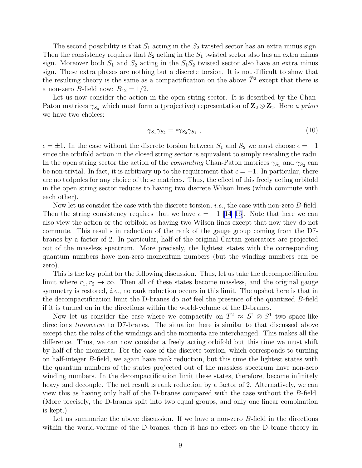The second possibility is that  $S_1$  acting in the  $S_2$  twisted sector has an extra minus sign. Then the consistency requires that  $S_2$  acting in the  $S_1$  twisted sector also has an extra minus sign. Moreover both  $S_1$  and  $S_2$  acting in the  $S_1S_2$  twisted sector also have an extra minus sign. These extra phases are nothing but a discrete torsion. It is not difficult to show that the resulting theory is the same as a compactification on the above  $\tilde{T}^2$  except that there is a non-zero *B*-field now:  $B_{12} = 1/2$ .

Let us now consider the action in the open string sector. It is described by the Chan-Paton matrices  $\gamma_{S_a}$  which must form a (projective) representation of  $\mathbb{Z}_2 \otimes \mathbb{Z}_2$ . Here a priori we have two choices:

$$
\gamma_{S_1} \gamma_{S_2} = \epsilon \gamma_{S_2} \gamma_{S_1} \tag{10}
$$

 $\epsilon = \pm 1$ . In the case without the discrete torsion between  $S_1$  and  $S_2$  we must choose  $\epsilon = +1$ since the orbifold action in the closed string sector is equivalent to simply rescaling the radii. In the open string sector the action of the *commuting* Chan-Paton matrices  $\gamma_{S_1}$  and  $\gamma_{S_2}$  can be non-trivial. In fact, it is arbitrary up to the requirement that  $\epsilon = +1$ . In particular, there are no tadpoles for any choice of these matrices. Thus, the effect of this freely acting orbifold in the open string sector reduces to having two discrete Wilson lines (which commute with each other).

Now let us consider the case with the discrete torsion, *i.e.*, the case with non-zero *B*-field. Then the string consistency requires that we have  $\epsilon = -1$  [\[14–16](#page-21-0)]. Note that here we can also view the action or the orbifold as having two Wilson lines except that now they do not commute. This results in reduction of the rank of the gauge group coming from the D7 branes by a factor of 2. In particular, half of the original Cartan generators are projected out of the massless spectrum. More precisely, the lightest states with the corresponding quantum numbers have non-zero momentum numbers (but the winding numbers can be zero).

This is the key point for the following discussion. Thus, let us take the decompactification limit where  $r_1, r_2 \to \infty$ . Then all of these states become massless, and the original gauge symmetry is restored, *i.e.*, no rank reduction occurs in this limit. The upshot here is that in the decompactification limit the D-branes do not feel the presence of the quantized B-field if it is turned on in the directions within the world-volume of the D-branes.

Now let us consider the case where we compactify on  $T^2 \approx S^1 \otimes S^1$  two space-like directions transverse to D7-branes. The situation here is similar to that discussed above except that the roles of the windings and the momenta are interchanged. This makes all the difference. Thus, we can now consider a freely acting orbifold but this time we must shift by half of the momenta. For the case of the discrete torsion, which corresponds to turning on half-integer B-field, we again have rank reduction, but this time the lightest states with the quantum numbers of the states projected out of the massless spectrum have non-zero winding numbers. In the decompactification limit these states, therefore, become infinitely heavy and decouple. The net result is rank reduction by a factor of 2. Alternatively, we can view this as having only half of the D-branes compared with the case without the B-field. (More precisely, the D-branes split into two equal groups, and only one linear combination is kept.)

Let us summarize the above discussion. If we have a non-zero  $B$ -field in the directions within the world-volume of the D-branes, then it has no effect on the D-brane theory in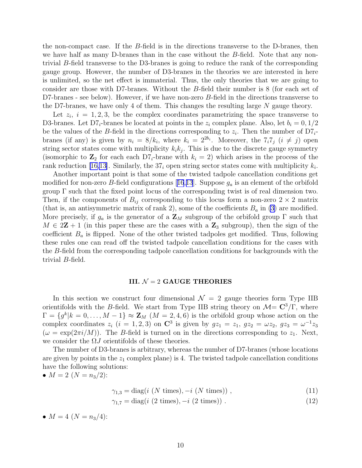the non-compact case. If the B-field is in the directions transverse to the D-branes, then we have half as many D-branes than in the case without the B-field. Note that any nontrivial B-field transverse to the D3-branes is going to reduce the rank of the corresponding gauge group. However, the number of D3-branes in the theories we are interested in here is unlimited, so the net effect is immaterial. Thus, the only theories that we are going to consider are those with D7-branes. Without the B-field their number is 8 (for each set of D7-branes - see below). However, if we have non-zero B-field in the directions transverse to the D7-branes, we have only 4 of them. This changes the resulting large  $N$  gauge theory.

Let  $z_i$ ,  $i = 1, 2, 3$ , be the complex coordinates parametrizing the space transverse to D3-branes. Let  $D7_i$ -branes be located at points in the  $z_i$  complex plane. Also, let  $b_i = 0, 1/2$ be the values of the B-field in the directions corresponding to  $z_i$ . Then the number of  $D7_i$ branes (if any) is given by  $n_i = 8/k_i$ , where  $k_i = 2^{2b_i}$ . Moreover, the  $7_i7_j$   $(i \neq j)$  open string sector states come with multiplicity  $k_i k_j$ . This is due to the discrete gauge symmetry (isomorphic to  $\mathbb{Z}_2$  for each each  $D7_i$ -brane with  $k_i = 2$ ) which arises in the process of the rank reduction [\[16,13](#page-21-0)]. Similarly, the  $37<sub>i</sub>$  open string sector states come with multiplicity  $k<sub>i</sub>$ .

Another important point is that some of the twisted tadpole cancellation conditions get modifiedfor non-zero B-field configurations [[16](#page-21-0),[13](#page-21-0)]. Suppose  $g_a$  is an element of the orbifold group Γ such that the fixed point locus of the corresponding twist is of real dimension two. Then, if the components of  $B_{ij}$  corresponding to this locus form a non-zero  $2 \times 2$  matrix (that is, an antisymmetric matrix of rank 2), some of the coefficients  $B_a$  in [\(3](#page-4-0)) are modified. More precisely, if  $g_a$  is the generator of a  $\mathbb{Z}_M$  subgroup of the orbifold group  $\Gamma$  such that  $M \in 2\mathbb{Z} + 1$  (in this paper these are the cases with a  $\mathbb{Z}_3$  subgroup), then the sign of the coefficient  $B_a$  is flipped. None of the other twisted tadpoles get modified. Thus, following these rules one can read off the twisted tadpole cancellation conditions for the cases with the B-field from the corresponding tadpole cancellation conditions for backgrounds with the trivial B-field.

### III.  $\mathcal{N}=2$  GAUGE THEORIES

In this section we construct four dimensional  $\mathcal{N} = 2$  gauge theories form Type IIB orientifolds with the B-field. We start from Type IIB string theory on  $\mathcal{M} = \mathbb{C}^3/\Gamma$ , where  $\Gamma = \{g^k | k = 0, \ldots, M - 1\} \approx \mathbf{Z}_M \ (M = 2, 4, 6)$  is the orbifold group whose action on the complex coordinates  $z_i$   $(i = 1, 2, 3)$  on  $\mathbb{C}^3$  is given by  $gz_1 = z_1, \, gz_2 = \omega z_2, \, gz_3 = \omega^{-1} z_3$  $(\omega = \exp(2\pi i/M))$ . The B-field is turned on in the directions corresponding to  $z_1$ . Next, we consider the  $\Omega J$  orientifolds of these theories.

The number of D3-branes is arbitrary, whereas the number of D7-branes (whose locations are given by points in the  $z_1$  complex plane) is 4. The twisted tadpole cancellation conditions have the following solutions:

• 
$$
M = 2
$$
 ( $N = n_3/2$ ):

 $\gamma_{1,3} = \text{diag}(i \ (N \ \text{times}), -i \ (N \ \text{times}))$ , (11)

$$
\gamma_{1,7} = \text{diag}(i \ (2 \ \text{times}), -i \ (2 \ \text{times})) \ . \tag{12}
$$

•  $M = 4$   $(N = n_3/4)$ :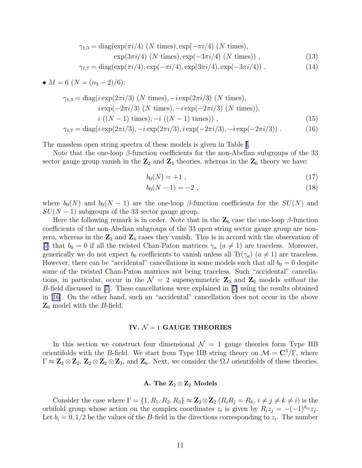$$
\gamma_{1,3} = \text{diag}(\exp(\pi i/4) \ (N \text{ times}), \exp(-\pi i/4) \ (N \text{ times}),
$$

$$
\exp(3\pi i/4) (N \times), \exp(-3\pi i/4) (N \times)) , \qquad (13)
$$

$$
\gamma_{1,7} = \text{diag}(\exp(\pi i/4), \exp(-\pi i/4), \exp(3\pi i/4), \exp(-3\pi i/4)) \ . \tag{14}
$$

• 
$$
M = 6
$$
 ( $N = (n_3 - 2)/6$ ):

$$
\gamma_{1,3} = \text{diag}(i \exp(2\pi i/3) \ (N \text{ times}), -i \exp(2\pi i/3) \ (N \text{ times}),
$$
  
\n
$$
i \exp(-2\pi i/3) \ (N \text{ times}), -i \exp(-2\pi i/3) \ (N \text{ times})),
$$
  
\n
$$
i \ ((N-1) \text{ times}), -i \ ((N-1) \text{ times})) ,
$$
  
\n
$$
\gamma_{1,7} = \text{diag}(i \exp(2\pi i/3), -i \exp(2\pi i/3), i \exp(-2\pi i/3), -i \exp(-2\pi i/3)) .
$$
 (16)

The massless open string spectra of these models is given in Table [I.](#page-16-0)

Note that the one-loop  $\beta$ -function coefficients for the non-Abelian subgroups of the 33 sector gauge group vanish in the  $\mathbb{Z}_2$  and  $\mathbb{Z}_4$  theories, whereas in the  $\mathbb{Z}_6$  theory we have:

$$
b_0(N) = +1 \t\t(17)
$$

$$
b_0(N-1) = -2 \t{,} \t(18)
$$

where  $b_0(N)$  and  $b_0(N-1)$  are the one-loop  $\beta$ -function coefficients for the  $SU(N)$  and  $SU(N-1)$  subgroups of the 33 sector gauge group.

Here the following remark is in order. Note that in the  $\mathbb{Z}_6$  case the one-loop  $\beta$ -function coefficients of the non-Abelian subgroups of the 33 open string sector gauge group are nonzero, whereas in the  $\mathbb{Z}_2$  and  $\mathbb{Z}_4$  cases they vanish. This is in accord with the observation of [\[7](#page-21-0)] that  $b_0 = 0$  if all the twisted Chan-Paton matrices  $\gamma_a$  ( $a \neq 1$ ) are traceless. Moreover, generically we do not expect  $b_0$  coefficients to vanish unless all Tr( $\gamma_a$ ) ( $a \neq 1$ ) are traceless. However, there can be "accidental" cancellations in some models such that all  $b_0 = 0$  despite some of the twisted Chan-Paton matrices not being traceless. Such "accidental" cancellations, in particular, occur in the  $\mathcal{N} = 2$  supersymmetric  $\mathbb{Z}_3$  and  $\mathbb{Z}_6$  models without the B-field discussed in [\[7\]](#page-21-0). These cancellations were explained in[[7\]](#page-21-0) using the results obtained in [\[16](#page-21-0)]. On the other hand, such an "accidental" cancellation does not occur in the above  $\mathbb{Z}_6$  model with the B-field.

### IV.  $\mathcal{N}=1$  GAUGE THEORIES

In this section we construct four dimensional  $\mathcal{N} = 1$  gauge theories form Type IIB orientifolds with the B-field. We start from Type IIB string theory on  $\mathcal{M} = \mathbb{C}^3/\Gamma$ , where  $\Gamma \approx \mathbb{Z}_2 \otimes \mathbb{Z}_2$ ,  $\mathbb{Z}_2 \otimes \mathbb{Z}_2 \otimes \mathbb{Z}_3$ , and  $\mathbb{Z}_6$ . Next, we consider the  $\Omega J$  orientifolds of these theories.

## A. The  $\mathbb{Z}_2 \otimes \mathbb{Z}_2$  Models

Consider the case where  $\Gamma = \{1, R_1, R_2, R_3\} \approx \mathbb{Z}_2 \otimes \mathbb{Z}_2$   $(R_i R_j = R_k, i \neq j \neq k \neq i)$  is the orbifold group whose action on the complex coordinates  $z_i$  is given by  $R_i z_j = -(-1)^{\delta_{ij}} z_j$ . Let  $b_i = 0, 1/2$  be the values of the B-field in the directions corresponding to  $z_i$ . The number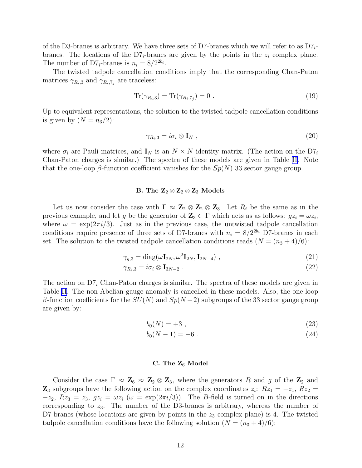of the D3-branes is arbitrary. We have three sets of D7-branes which we will refer to as  $D7_i$ branes. The locations of the  $D7_i$ -branes are given by the points in the  $z_i$  complex plane. The number of D7<sub>*i*</sub>-branes is  $n_i = 8/2^{2b_i}$ .

The twisted tadpole cancellation conditions imply that the corresponding Chan-Paton matrices  $\gamma_{R_i,3}$  and  $\gamma_{R_i,7_j}$  are traceless:

$$
\text{Tr}(\gamma_{R_i,3}) = \text{Tr}(\gamma_{R_i,7_j}) = 0 \tag{19}
$$

Up to equivalent representations, the solution to the twisted tadpole cancellation conditions is given by  $(N = n_3/2)$ :

$$
\gamma_{R_i,3} = i\sigma_i \otimes \mathbf{I}_N \tag{20}
$$

where  $\sigma_i$  are Pauli matrices, and  $\mathbf{I}_N$  is an  $N \times N$  identity matrix. (The action on the  $D_i$ Chan-Paton charges is similar.) The spectra of these models are given in Table [II.](#page-17-0) Note that the one-loop  $\beta$ -function coefficient vanishes for the  $Sp(N)$  33 sector gauge group.

# B. The  $\mathbb{Z}_2 \otimes \mathbb{Z}_2 \otimes \mathbb{Z}_3$  Models

Let us now consider the case with  $\Gamma \approx \mathbb{Z}_2 \otimes \mathbb{Z}_2 \otimes \mathbb{Z}_3$ . Let  $R_i$  be the same as in the previous example, and let g be the generator of  $\mathbf{Z}_3 \subset \Gamma$  which acts as as follows:  $gz_i = \omega z_i$ , where  $\omega = \exp(2\pi i/3)$ . Just as in the previous case, the untwisted tadpole cancellation conditions require presence of three sets of D7-branes with  $n_i = 8/2^{2b_i}$  D7-branes in each set. The solution to the twisted tadpole cancellation conditions reads  $(N = (n<sub>3</sub> + 4)/6)$ :

$$
\gamma_{g,3} = \text{diag}(\omega \mathbf{I}_{2N}, \omega^2 \mathbf{I}_{2N}, \mathbf{I}_{2N-4}), \qquad (21)
$$

$$
\gamma_{R_i,3} = i\sigma_i \otimes \mathbf{I}_{3N-2} \tag{22}
$$

The action on  $D7<sub>i</sub>$  Chan-Paton charges is similar. The spectra of these models are given in Table [II](#page-17-0). The non-Abelian gauge anomaly is cancelled in these models. Also, the one-loop β-function coefficients for the  $SU(N)$  and  $Sp(N-2)$  subgroups of the 33 sector gauge group are given by:

$$
b_0(N) = +3 \t{3} \t(23)
$$

$$
b_0(N-1) = -6 \t\t(24)
$$

## C. The  $Z_6$  Model

Consider the case  $\Gamma \approx \mathbb{Z}_6 \approx \mathbb{Z}_2 \otimes \mathbb{Z}_3$ , where the generators R and g of the  $\mathbb{Z}_2$  and  $\mathbb{Z}_3$  subgroups have the following action on the complex coordinates  $z_i$ :  $Rz_1 = -z_1$ ,  $Rz_2 =$  $-z_2$ ,  $Rz_3 = z_3$ ,  $gz_i = \omega z_i$  ( $\omega = \exp(2\pi i/3)$ ). The B-field is turned on in the directions corresponding to  $z_3$ . The number of the D3-branes is arbitrary, whereas the number of D7-branes (whose locations are given by points in the  $z_3$  complex plane) is 4. The twisted tadpole cancellation conditions have the following solution  $(N = (n<sub>3</sub> + 4)/6)$ :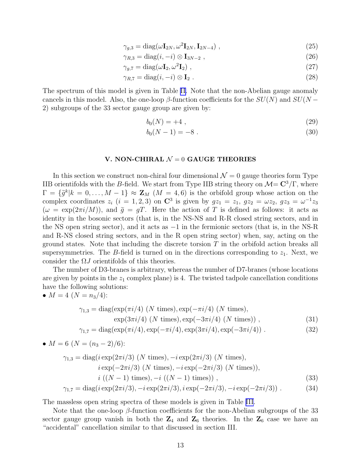$$
\gamma_{g,3} = \text{diag}(\omega \mathbf{I}_{2N}, \omega^2 \mathbf{I}_{2N}, \mathbf{I}_{2N-4}), \qquad (25)
$$

$$
\gamma_{R,3} = \text{diag}(i, -i) \otimes \mathbf{I}_{3N-2} \tag{26}
$$

$$
\gamma_{g,7} = \text{diag}(\omega \mathbf{I}_2, \omega^2 \mathbf{I}_2) \tag{27}
$$

$$
\gamma_{R,7} = \text{diag}(i, -i) \otimes \mathbf{I}_2 \tag{28}
$$

The spectrum of this model is given in Table [II.](#page-17-0) Note that the non-Abelian gauge anomaly cancels in this model. Also, the one-loop  $\beta$ -function coefficients for the  $SU(N)$  and  $SU(N -$ 2) subgroups of the 33 sector gauge group are given by:

$$
b_0(N) = +4 \t{,} \t(29)
$$

$$
b_0(N-1) = -8
$$
 (30)

### V. NON-CHIRAL  $\mathcal{N}=0$  GAUGE THEORIES

In this section we construct non-chiral four dimensional  $\mathcal{N}=0$  gauge theories form Type IIB orientifolds with the B-field. We start from Type IIB string theory on  $\mathcal{M} = \mathbb{C}^3/\Gamma$ , where  $\Gamma = {\{\tilde{g}^k | k = 0, \ldots, M-1\}} \approx \mathbf{Z}_M$  ( $M = 4, 6$ ) is the orbifold group whose action on the complex coordinates  $z_i$   $(i = 1, 2, 3)$  on  $\mathbb{C}^3$  is given by  $gz_1 = z_1, \, gz_2 = \omega z_2, \, gz_3 = \omega^{-1} z_3$  $(\omega = \exp(2\pi i/M))$ , and  $\tilde{g} = gT$ . Here the action of T is defined as follows: it acts as identity in the bosonic sectors (that is, in the NS-NS and R-R closed string sectors, and in the NS open string sector), and it acts as −1 in the fermionic sectors (that is, in the NS-R and R-NS closed string sectors, and in the R open string sector) when, say, acting on the ground states. Note that including the discrete torsion  $T$  in the orbifold action breaks all supersymmetries. The B-field is turned on in the directions corresponding to  $z_1$ . Next, we consider the  $\Omega J$  orientifolds of this theories.

The number of D3-branes is arbitrary, whereas the number of D7-branes (whose locations are given by points in the  $z_1$  complex plane) is 4. The twisted tadpole cancellation conditions have the following solutions:

• 
$$
M = 4 \ (N = n_3/4)
$$
:

$$
\gamma_{1,3} = \text{diag}(\exp(\pi i/4) \ (N \text{ times}), \exp(-\pi i/4) \ (N \text{ times}),
$$
  
 
$$
\exp(3\pi i/4) \ (N \text{ times}), \exp(-3\pi i/4) \ (N \text{ times})), \tag{31}
$$

$$
\gamma_{1,7} = \text{diag}(\exp(\pi i/4), \exp(-\pi i/4), \exp(3\pi i/4), \exp(-3\pi i/4)) \tag{32}
$$

• 
$$
M = 6
$$
 ( $N = (n_3 - 2)/6$ ):

$$
\gamma_{1,3} = \text{diag}(i \exp(2\pi i/3) \ (N \text{ times}), -i \exp(2\pi i/3) \ (N \text{ times}),
$$
  
\n
$$
i \exp(-2\pi i/3) \ (N \text{ times}), -i \exp(-2\pi i/3) \ (N \text{ times})),
$$
  
\n
$$
i \ ((N-1) \text{ times}), -i \ ((N-1) \text{ times})) ,
$$
  
\n
$$
\gamma_{1,7} = \text{diag}(i \exp(2\pi i/3), -i \exp(2\pi i/3), i \exp(-2\pi i/3), -i \exp(-2\pi i/3)) .
$$
 (34)

The massless open string spectra of these models is given in Table [III.](#page-18-0)

Note that the one-loop  $\beta$ -function coefficients for the non-Abelian subgroups of the 33 sector gauge group vanish in both the  $\mathbb{Z}_4$  and  $\mathbb{Z}_6$  theories. In the  $\mathbb{Z}_6$  case we have an "accidental" cancellation similar to that discussed in section III.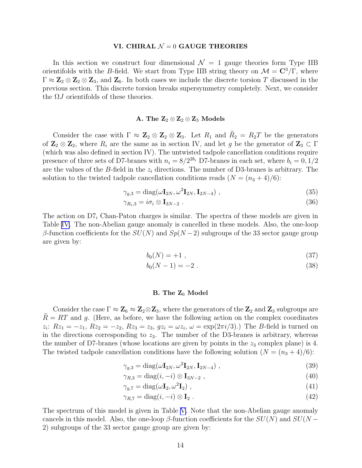### VI. CHIRAL  $\mathcal{N}=0$  GAUGE THEORIES

In this section we construct four dimensional  $\mathcal{N} = 1$  gauge theories form Type IIB orientifolds with the B-field. We start from Type IIB string theory on  $\mathcal{M} = \mathbb{C}^3/\Gamma$ , where  $\Gamma \approx \mathbb{Z}_2 \otimes \mathbb{Z}_2 \otimes \mathbb{Z}_3$ , and  $\mathbb{Z}_6$ . In both cases we include the discrete torsion T discussed in the previous section. This discrete torsion breaks supersymmetry completely. Next, we consider the  $\Omega J$  orientifolds of these theories.

## A. The  $\mathbb{Z}_2 \otimes \mathbb{Z}_2 \otimes \mathbb{Z}_3$  Models

Consider the case with  $\Gamma \approx \mathbb{Z}_2 \otimes \mathbb{Z}_2 \otimes \mathbb{Z}_3$ . Let  $R_1$  and  $R_2 = R_2T$  be the generators of  $\mathbb{Z}_2 \otimes \mathbb{Z}_2$ , where  $R_i$  are the same as in section IV, and let g be the generator of  $\mathbb{Z}_3 \subset \Gamma$ (which was also defined in section IV). The untwisted tadpole cancellation conditions require presence of three sets of D7-branes with  $n_i = 8/2^{2b_i}$  D7-branes in each set, where  $b_i = 0, 1/2$ are the values of the B-field in the  $z_i$  directions. The number of D3-branes is arbitrary. The solution to the twisted tadpole cancellation conditions reads  $(N = (n<sub>3</sub> + 4)/6)$ :

$$
\gamma_{g,3} = \text{diag}(\omega \mathbf{I}_{2N}, \omega^2 \mathbf{I}_{2N}, \mathbf{I}_{2N-4}), \qquad (35)
$$

$$
\gamma_{R_i,3} = i\sigma_i \otimes \mathbf{I}_{3N-2} \tag{36}
$$

The action on  $D7<sub>i</sub>$  Chan-Paton charges is similar. The spectra of these models are given in Table [IV](#page-19-0). The non-Abelian gauge anomaly is cancelled in these models. Also, the one-loop β-function coefficients for the  $SU(N)$  and  $Sp(N-2)$  subgroups of the 33 sector gauge group are given by:

$$
b_0(N) = +1 \t{37}
$$

$$
b_0(N-1) = -2 \tag{38}
$$

## B. The  $Z_6$  Model

Consider the case  $\Gamma \approx \mathbb{Z}_6 \approx \mathbb{Z}_2 \otimes \mathbb{Z}_3$ , where the generators of the  $\mathbb{Z}_2$  and  $\mathbb{Z}_3$  subgroups are  $R = RT$  and g. (Here, as before, we have the following action on the complex coordinates  $z_i$ :  $Rz_1 = -z_1, Rz_2 = -z_2, Rz_3 = z_3, gz_i = \omega z_i, \omega = \exp(2\pi i/3)$ . The B-field is turned on in the directions corresponding to  $z<sub>3</sub>$ . The number of the D3-branes is arbitrary, whereas the number of D7-branes (whose locations are given by points in the  $z_3$  complex plane) is 4. The twisted tadpole cancellation conditions have the following solution  $(N = (n<sub>3</sub> + 4)/6)$ :

$$
\gamma_{g,3} = \text{diag}(\omega \mathbf{I}_{2N}, \omega^2 \mathbf{I}_{2N}, \mathbf{I}_{2N-4}), \qquad (39)
$$

$$
\gamma_{R,3} = \text{diag}(i, -i) \otimes \mathbf{I}_{3N-2} \tag{40}
$$

$$
\gamma_{g,7} = \text{diag}(\omega \mathbf{I}_2, \omega^2 \mathbf{I}_2) \tag{41}
$$

$$
\gamma_{R,7} = \text{diag}(i, -i) \otimes \mathbf{I}_2 \tag{42}
$$

The spectrum of this model is given in Table [V.](#page-20-0) Note that the non-Abelian gauge anomaly cancels in this model. Also, the one-loop  $\beta$ -function coefficients for the  $SU(N)$  and  $SU(N -$ 2) subgroups of the 33 sector gauge group are given by: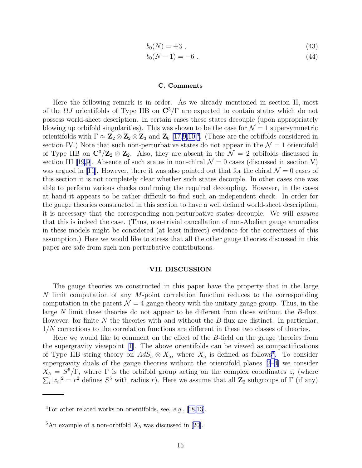$$
b_0(N) = +3 \t{,} \t(43)
$$

$$
b_0(N-1) = -6 \tag{44}
$$

#### C. Comments

Here the following remark is in order. As we already mentioned in section II, most of the  $\Omega J$  orientifolds of Type IIB on  $\mathbb{C}^3/\Gamma$  are expected to contain states which do not possess world-sheet description. In certain cases these states decouple (upon appropriately blowing up orbifold singularities). This was shown to be the case for  $\mathcal{N}=1$  supersymmetric orientifolds with  $\Gamma \approx Z_2 \otimes Z_2 \otimes Z_3$  and  $Z_6$  [\[17,9,10](#page-21-0)]<sup>4</sup>. (These are the orbifolds considered in section IV.) Note that such non-perturbative states do not appear in the  $\mathcal{N}=1$  orientifold of Type IIB on  $\mathbb{C}^3/\mathbb{Z}_2 \otimes \mathbb{Z}_2$ . Also, they are absent in the  $\mathcal{N}=2$  orbifolds discussed in section III [\[19](#page-22-0)[,9](#page-21-0)]. Absence of such states in non-chiral  $\mathcal{N} = 0$  cases (discussed in section V) was argued in [\[11](#page-21-0)]. However, there it was also pointed out that for the chiral  $\mathcal{N}=0$  cases of this section it is not completely clear whether such states decouple. In other cases one was able to perform various checks confirming the required decoupling. However, in the cases at hand it appears to be rather difficult to find such an independent check. In order for the gauge theories constructed in this section to have a well defined world-sheet description, it is necessary that the corresponding non-perturbative states decouple. We will assume that this is indeed the case. (Thus, non-trivial cancellation of non-Abelian gauge anomalies in these models might be considered (at least indirect) evidence for the correctness of this assumption.) Here we would like to stress that all the other gauge theories discussed in this paper are safe from such non-perturbative contributions.

### VII. DISCUSSION

The gauge theories we constructed in this paper have the property that in the large N limit computation of any M-point correlation function reduces to the corresponding computation in the parent  $\mathcal{N} = 4$  gauge theory with the unitary gauge group. Thus, in the large N limit these theories do not appear to be different from those without the B-flux. However, for finite  $N$  the theories with and without the  $B$ -flux are distinct. In particular, 1/N corrections to the correlation functions are different in these two classes of theories.

Here we would like to comment on the effect of the B-field on the gauge theories from the supergravity viewpoint [\[1](#page-21-0)]. The above orientifolds can be viewed as compactifications of Type IIB string theory on  $AdS_5 \otimes X_5$ , where  $X_5$  is defined as follows<sup>5</sup>. To consider supergravity duals of the gauge theories without the orientifold planes [\[2–4\]](#page-21-0) we consider  $X_5 = S^5/\Gamma$ , where  $\Gamma$  is the orbifold group acting on the complex coordinates  $z_i$  (where  $\sum_i |z_i|^2 = r^2$  defines  $S^5$  with radius r). Here we assume that all  $\mathbb{Z}_2$  subgroups of  $\Gamma$  (if any)

<sup>&</sup>lt;sup>4</sup>Forother related works on orientifolds, see, *e.g.*, [[18,](#page-22-0)[13](#page-21-0)].

<sup>&</sup>lt;sup>5</sup>Anexample of a non-orbifold  $X_5$  was discussed in [[20\]](#page-22-0).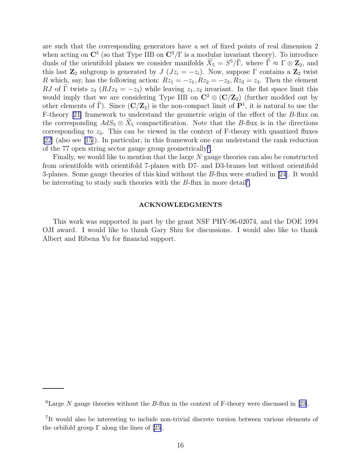are such that the corresponding generators have a set of fixed points of real dimension 2 when acting on  $\mathbb{C}^3$  (so that Type IIB on  $\mathbb{C}^3/\Gamma$  is a modular invariant theory). To introduce duals of the orientifold planes we consider manifolds  $\widetilde{X}_5 = S^5/\widetilde{\Gamma}$ , where  $\widetilde{\Gamma} \approx \Gamma \otimes \mathbf{Z}_2$ , and this last  $\mathbb{Z}_2$  subgroup is generated by  $J\ (Jz_i = -z_i)$ . Now, suppose  $\Gamma$  contains a  $\mathbb{Z}_2$  twist R which, say, has the following action:  $Rz_1 = -z_1, Rz_2 = -z_2, Rz_3 = z_3$ . Then the element RJ of  $\Gamma$  twists  $z_3$  ( $RJz_3 = -z_3$ ) while leaving  $z_1, z_2$  invariant. In the flat space limit this would imply that we are considering Type IIB on  $\mathbb{C}^2 \otimes (\mathbb{C}/\mathbb{Z}_2)$  (further modded out by other elements of  $\tilde{\Gamma}$ ). Since  $(C/Z_2)$  is the non-compact limit of  $\mathbf{P}^1$ , it is natural to use the F-theory [\[21\]](#page-22-0) framework to understand the geometric origin of the effect of the B-flux on the corresponding  $AdS_5 \otimes X_5$  compactification. Note that the B-flux is in the directions corresponding to  $z_3$ . This can be viewed in the context of F-theory with quantized fluxes [\[22\]](#page-22-0) (also see [\[15](#page-21-0)]). In particular, in this framework one can understand the rank reduction of the 77 open string sector gauge group geometrically<sup>6</sup>.

Finally, we would like to mention that the large  $N$  gauge theories can also be constructed from orientifolds with orientifold 7-planes with D7- and D3-branes but without orientifold 3-planes. Some gauge theories of this kind without the  $B$ -flux were studied in [\[24](#page-23-0)]. It would be interesting to study such theories with the  $B$ -flux in more detail<sup>7</sup>.

### ACKNOWLEDGMENTS

This work was supported in part by the grant NSF PHY-96-02074, and the DOE 1994 OJI award. I would like to thank Gary Shiu for discussions. I would also like to thank Albert and Ribena Yu for financial support.

 ${}^{6}$ LargeN gauge theories without the B-flux in the context of F-theory were discussed in [[23\]](#page-22-0).

<sup>7</sup> It would also be interesting to include non-trivial discrete torsion between various elements of theorbifold group  $\Gamma$  along the lines of [[25\]](#page-23-0).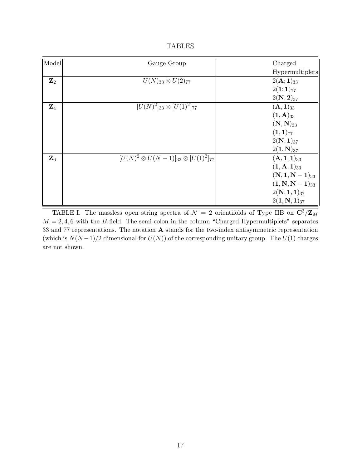|  | ADLIE |
|--|-------|
|--|-------|

<span id="page-16-0"></span>

| Model          | Gauge Group                                        | Charged                          |
|----------------|----------------------------------------------------|----------------------------------|
|                |                                                    | Hypermultiplets                  |
| ${\bf Z}_2$    | $U(N)_{33} \otimes U(2)_{77}$                      | $2({\bf A};1)_{33}$              |
|                |                                                    | $2(1;1)_{77}$                    |
|                |                                                    | $2(N; 2)_{37}$                   |
| ${\bf Z}_4$    | $[U(N)^2]_{33} \otimes [U(1)^2]_{77}$              | $({\bf A}, {\bf 1})_{33}$        |
|                |                                                    | $({\bf 1}, {\bf A})_{33}$        |
|                |                                                    | $({\bf N},{\bf N})_{33}$         |
|                |                                                    | $(1,1)_{77}$                     |
|                |                                                    | $2(N,1)_{37}$                    |
|                |                                                    | $2(1, N)_{37}$                   |
| $\mathbf{Z}_6$ | $[U(N)^2\otimes U(N-1)]_{33}\otimes [U(1)^2]_{77}$ | $({\bf A},{\bf 1},{\bf 1})_{33}$ |
|                |                                                    | $(1, A, 1)_{33}$                 |
|                |                                                    | $(N, 1, N-1)_{33}$               |
|                |                                                    | $(1, N, N-1)_{33}$               |
|                |                                                    | $2(N, 1, 1)_{37}$                |
|                |                                                    | $2(1, N, 1)_{37}$                |

TABLE I. The massless open string spectra of  $\mathcal{N} = 2$  orientifolds of Type IIB on  $\mathbf{C}^3/\mathbf{Z}_M$  $M = 2, 4, 6$  with the B-field. The semi-colon in the column "Charged Hypermultiplets" separates 33 and 77 representations. The notation A stands for the two-index antisymmetric representation (which is  $N(N-1)/2$  dimensional for  $U(N)$ ) of the corresponding unitary group. The  $U(1)$  charges are not shown.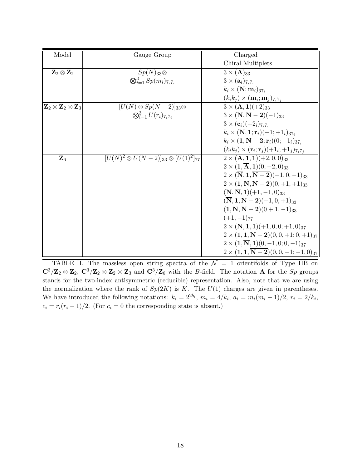<span id="page-17-0"></span>

| Model                                         | Gauge Group                                        | Charged                                                        |
|-----------------------------------------------|----------------------------------------------------|----------------------------------------------------------------|
|                                               |                                                    | Chiral Multiplets                                              |
| ${\bf Z}_2\otimes {\bf Z}_2$                  | $Sp(N)_{33}$                                       | $3 \times (A)_{33}$                                            |
|                                               | $\otimes_{i=1}^3 Sp(m_i)_{7_i7_i}$                 | $3 \times (a_i)_{7_i 7_i}$                                     |
|                                               |                                                    | $k_i \times (\mathbf{N}; \mathbf{m}_i)_{37}$                   |
|                                               |                                                    | $(k_i k_j) \times (\mathbf{m}_i; \mathbf{m}_j)_{7_i 7_j}$      |
| ${\bf Z}_2\otimes {\bf Z}_2\otimes {\bf Z}_3$ | $[U(N)\otimes Sp(N-2)]_{33}\otimes$                | $3 \times (A, 1)(+2)_{33}$                                     |
|                                               | $\bigotimes_{i=1}^{3} U(r_i)_{7_i 7_i}$            | $3 \times (\overline{\mathbf{N}}, \mathbf{N}-2)(-1)_{33}$      |
|                                               |                                                    | $3 \times (c_i)(+2_i)_{7_i7_i}$                                |
|                                               |                                                    | $k_i \times (N, 1; r_i)(+1; +1_i)_{37i}$                       |
|                                               |                                                    | $k_i \times (1, \mathbf{N} - 2; \mathbf{r}_i)(0; -1_i)_{37_i}$ |
|                                               |                                                    | $(k_ik_j) \times (r_i; r_j) + l_i; + l_j)_{7_i}$               |
| $\mathbf{Z}_6$                                | $[U(N)^2\otimes U(N-2)]_{33}\otimes [U(1)^2]_{77}$ | $2 \times (A, 1, 1)$ $(+2, 0, 0)$ <sub>33</sub>                |
|                                               |                                                    | $2 \times (1, \overline{A}, 1)(0, -2, 0)_{33}$                 |
|                                               |                                                    | $2 \times (\overline{N}, 1, \overline{N-2})(-1, 0, -1)_{33}$   |
|                                               |                                                    | $2 \times (1, \mathbf{N}, \mathbf{N} - 2)(0, +1, +1)_{33}$     |
|                                               |                                                    | $(N,\overline{N},1)(+1,-1,0)_{33}$                             |
|                                               |                                                    | $(\overline{\bf N},{\bf 1},{\bf N-2})(-1,0,+1)_{33}$           |
|                                               |                                                    | $(1, N, \overline{N-2})(0+1,-1)_{33}$                          |
|                                               |                                                    | $(+1,-1)_{77}$                                                 |
|                                               |                                                    | $2 \times (N, 1, 1)$ $(+1, 0, 0; +1, 0)$ <sub>37</sub>         |
|                                               |                                                    | $2 \times (1, 1, N - 2)(0, 0, +1; 0, +1)_{37}$                 |
|                                               |                                                    | $2 \times (1,\overline{N},1)(0,-1,0;0,-1)_{37}$                |
|                                               |                                                    | $2 \times (1, 1, \overline{N-2})(0, 0, -1; -1, 0)_{37}$        |

TABLE II. The massless open string spectra of the  $\mathcal{N} = 1$  orientifolds of Type IIB on  $\mathbb{C}^3/\mathbb{Z}_2 \otimes \mathbb{Z}_2$ ,  $\mathbb{C}^3/\mathbb{Z}_2 \otimes \mathbb{Z}_2 \otimes \mathbb{Z}_3$  and  $\mathbb{C}^3/\mathbb{Z}_6$  with the *B*-field. The notation **A** for the *Sp* groups stands for the two-index antisymmetric (reducible) representation. Also, note that we are using the normalization where the rank of  $Sp(2K)$  is K. The  $U(1)$  charges are given in parentheses. We have introduced the following notations:  $k_i = 2^{2b_i}$ ,  $m_i = 4/k_i$ ,  $a_i = m_i(m_i - 1)/2$ ,  $r_i = 2/k_i$ ,  $c_i = r_i(r_i - 1)/2$ . (For  $c_i = 0$  the corresponding state is absent.)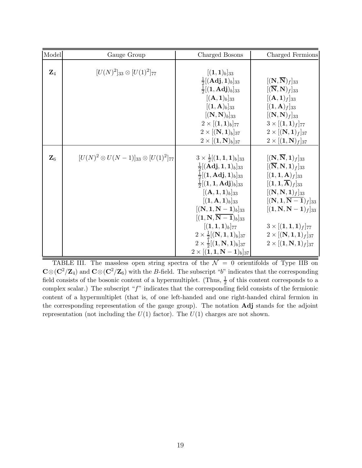<span id="page-18-0"></span>

| Model          | Gauge Group                                          | Charged Bosons                                                                                                                                                                                                                                                                                                                                                                                                                                                                                                                   | Charged Fermions                                                                                                                                                                                                                                                                                                                                                                                                        |
|----------------|------------------------------------------------------|----------------------------------------------------------------------------------------------------------------------------------------------------------------------------------------------------------------------------------------------------------------------------------------------------------------------------------------------------------------------------------------------------------------------------------------------------------------------------------------------------------------------------------|-------------------------------------------------------------------------------------------------------------------------------------------------------------------------------------------------------------------------------------------------------------------------------------------------------------------------------------------------------------------------------------------------------------------------|
| $\mathbf{Z}_4$ | $[U(N)^2]_{33} \otimes [U(1)^2]_{77}$                | $[(1,1)_b]_{33}$<br>$\frac{1}{2}$ [( <b>Adj</b> , <b>1</b> ) <sub>b</sub> ] <sub>33</sub><br>$\frac{1}{2}$ [(1, <b>Adj</b> ) <sub>b</sub> ] <sub>33</sub><br>$[({\bf A},{\bf 1})_b]_{33}$<br>$[(\mathbf{1},\mathbf{A})_b]_{33}$<br>$[(\mathbf{N},\mathbf{N})_b]_{33}$                                                                                                                                                                                                                                                            | $[(\mathbf{N},\overline{\mathbf{N}})_f]_{33}$<br>$[(\overline{\mathbf{N}},\mathbf{N})_f]_{33}$<br>$[({\bf A},{\bf 1})_f]_{33}$<br>$[(1, A)f]_{33}$<br>$[(\mathbf{N},\mathbf{N})_f]_{33}$                                                                                                                                                                                                                                |
|                |                                                      | $2 \times [(1,1)_b]_{77}$<br>$2 \times [({\bf N},{\bf 1})_b]_{37}$                                                                                                                                                                                                                                                                                                                                                                                                                                                               | $3 \times [(1,1)_f]_{77}$<br>$2 \times [({\bf N},{\bf 1})_f]_{37}$                                                                                                                                                                                                                                                                                                                                                      |
|                |                                                      | $2 \times [(1, N)b]_{37}$                                                                                                                                                                                                                                                                                                                                                                                                                                                                                                        | $2 \times [(1, N)_f]_{37}$                                                                                                                                                                                                                                                                                                                                                                                              |
| $\mathbf{Z}_6$ | $[U(N)^2 \otimes U(N-1)]_{33} \otimes [U(1)^2]_{77}$ | $3 \times \frac{1}{2}[(1,1,1)_b]_{33}$<br>$\frac{1}{2}$ [( <b>Adj</b> , <b>1</b> , <b>1</b> ) <sub>b</sub> ] <sub>33</sub><br>$\frac{1}{2}[(1, \text{Adj}, 1)_b]_{33}$<br>$\frac{1}{2}[(1,1,\mathbf{Adj})_{b}]_{33}$<br>$[({\bf A},{\bf 1},{\bf 1})_b]_{33}$<br>$[(1, A, 1)_b]_{33}$<br>$[(N, 1, N-1)_b]_{33}$<br>$[(1, N, \overline{N-1})_b]_{33}$<br>$[(1,1,1)_b]_{77}$<br>$2 \times \frac{1}{2} [(\mathbf{N}, \mathbf{1}, \mathbf{1})_b]_{37}$<br>$2 \times \frac{1}{2}[(1, N, 1)_b]_{37}$<br>$2 \times [(1, 1, N-1)_b]_{37}$ | $[(\mathbf{N},\overline{\mathbf{N}},\mathbf{1})_f]_{33}$<br>$[(\overline{\mathbf{N}},\mathbf{N},\mathbf{1})_f]_{33}$<br>$[(1,1,\mathbf{A})_f]_{33}$<br>$[(\mathbf{1},\mathbf{1},\overline{\mathbf{A}})_f]_{33}$<br>$[(N, N, 1)_f]_{33}$<br>$[(N, 1, \overline{N-1})_f]_{33}$<br>$[(1, N, N-1)_f]_{33}$<br>$3 \times [(1,1,1)_f]_{77}$<br>$2 \times [({\bf N},{\bf 1},{\bf 1})_f]_{37}$<br>$2 \times [(1, N, 1)_f]_{37}$ |

TABLE III. The massless open string spectra of the  $\mathcal{N} = 0$  orientifolds of Type IIB on  $C \otimes (C^2/\mathbb{Z}_4)$  and  $C \otimes (C^2/\mathbb{Z}_6)$  with the B-field. The subscript "b" indicates that the corresponding field consists of the bosonic content of a hypermultiplet. (Thus,  $\frac{1}{2}$  of this content corresponds to a complex scalar.) The subscript " $f$ " indicates that the corresponding field consists of the fermionic content of a hypermultiplet (that is, of one left-handed and one right-handed chiral fermion in the corresponding representation of the gauge group). The notation Adj stands for the adjoint representation (not including the  $U(1)$  factor). The  $U(1)$  charges are not shown.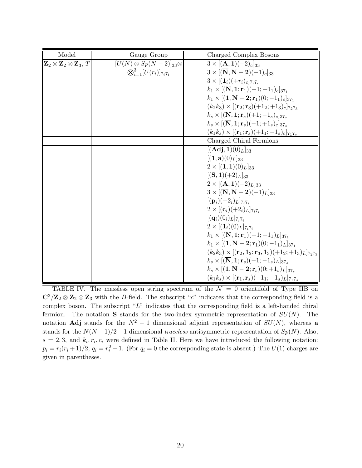<span id="page-19-0"></span>

| Model                                                        | Gauge Group                            | Charged Complex Bosons                                                                              |
|--------------------------------------------------------------|----------------------------------------|-----------------------------------------------------------------------------------------------------|
| $\mathbf{Z}_2 \otimes \mathbf{Z}_2 \otimes \mathbf{Z}_3$ , T | $[U(N)\otimes Sp(N-2)]_{33}\otimes$    | $3 \times [({\bf A},{\bf 1})(+2)_c]_{33}$                                                           |
|                                                              | $\otimes_{i=1}^{3} [U(r_i)]_{7_i 7_i}$ | $3 \times [(\overline{\mathbf{N}}, \mathbf{N}-\mathbf{2})(-1)_c]_{33}$                              |
|                                                              |                                        | $3 \times [(1_i)(+r_i)_c]_{7,7}$                                                                    |
|                                                              |                                        | $k_1 \times [({\bf N},{\bf 1};{\bf r}_1)(+1;+1_1)_c]_{37_1}$                                        |
|                                                              |                                        | $k_1 \times [(1, N - 2; r_1)(0; -1_1)_c]_{37_1}$                                                    |
|                                                              |                                        | $(k_2k_3) \times [(\mathbf{r}_2; \mathbf{r}_3)(+1_2;+1_3)_c]_{7_27_3}$                              |
|                                                              |                                        | $k_s \times [({\bf N},{\bf 1};{\bf r}_s)(+1;-1_s)_c]_{37_s}$                                        |
|                                                              |                                        | $k_s \times [(\overline{\mathbf{N}}, \mathbf{1}; \mathbf{r}_s)(-1; +1_s)_c]_{37_s}$                 |
|                                                              |                                        | $(k_1k_s)\times[(\mathbf{r}_1;\mathbf{r}_s)(+1_1;-1_s)_c]_{7_17_s}$                                 |
|                                                              |                                        | Charged Chiral Fermions                                                                             |
|                                                              |                                        | $[({\bf Adj},{\bf 1})(0)_L]_{33}$                                                                   |
|                                                              |                                        | $[(\mathbf{1},\mathbf{a})(0)_L]_{33}$                                                               |
|                                                              |                                        | $2 \times [(1,1)(0)_L]_{33}$                                                                        |
|                                                              |                                        | $[(S,1)(+2)_L]_{33}$                                                                                |
|                                                              |                                        | $2 \times [({\bf A}, {\bf 1})(+2)_L]_{33}$                                                          |
|                                                              |                                        | $3 \times [(\overline{\mathbf{N}}, \mathbf{N}-\mathbf{2})(-1)_L]_{33}$                              |
|                                                              |                                        | $[(\mathbf{p}_i)(+2_i)_L]_{7,7}$                                                                    |
|                                                              |                                        | $2 \times [({\bf c}_i)(+2_i)_L]_{7_i7_i}$                                                           |
|                                                              |                                        | $[(\mathbf{q}_i)(0_i)_L]_{7,7}$                                                                     |
|                                                              |                                        | $2 \times [(1_i)(0)_L]_{7_i7_i}$                                                                    |
|                                                              |                                        | $k_1 \times [({\bf N},{\bf 1};{\bf r}_1)(+1;+1_1)_L]_{37_1}$                                        |
|                                                              |                                        | $k_1 \times [(1, N - 2; r_1)(0; -1_1)_L]_{37_1}$                                                    |
|                                                              |                                        | $(k_2k_3) \times [(\mathbf{r}_2, \mathbf{1}_2; \mathbf{r}_3, \mathbf{1}_3)(+1_2; +1_3)_L]_{7_27_3}$ |
|                                                              |                                        | $k_s \times [(\overline{\mathbf{N}}, \mathbf{1}; \mathbf{r}_s)(-1; -1_s)_L]_{37_s}$                 |
|                                                              |                                        | $k_s \times [(1, N - 2; r_s)(0; +1_s)_L]_{37_s}$                                                    |
|                                                              |                                        | $(k_1k_s) \times [(\mathbf{r}_1, \mathbf{r}_s)(-1_1; -1_s)_L]_{7_17_s}$                             |

TABLE IV. The massless open string spectrum of the  $\mathcal{N} = 0$  orientifold of Type IIB on  $\mathbb{C}^3/\mathbb{Z}_2 \otimes \mathbb{Z}_2 \otimes \mathbb{Z}_3$  with the B-field. The subscript "c" indicates that the corresponding field is a complex boson. The subscript " $L$ " indicates that the corresponding field is a left-handed chiral fermion. The notation S stands for the two-index symmetric representation of  $SU(N)$ . The notation **Adj** stands for the  $N^2 - 1$  dimensional adjoint representation of  $SU(N)$ , whereas a stands for the  $N(N-1)/2-1$  dimensional traceless antisymmetric representation of  $Sp(N)$ . Also,  $s = 2, 3$ , and  $k_i, r_i, c_i$  were defined in Table II. Here we have introduced the following notation:  $p_i = r_i(r_i + 1)/2$ ,  $q_i = r_i^2 - 1$ . (For  $q_i = 0$  the corresponding state is absent.) The  $U(1)$  charges are given in parentheses.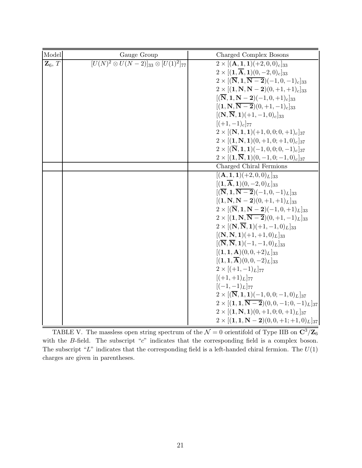<span id="page-20-0"></span>

| Model              | Gauge Group                                                 | Charged Complex Bosons                                                                                 |
|--------------------|-------------------------------------------------------------|--------------------------------------------------------------------------------------------------------|
| $\mathbf{Z}_6$ , T | $\sqrt{[U(N)^2 \otimes U(N-2)]_{33} \otimes [U(1)^2]_{77}}$ | $2 \times [({\bf A},{\bf 1},{\bf 1})(+2,0,0)_c]_{33}$                                                  |
|                    |                                                             | $2 \times [(1,\overline{A},1)(0,-2,0)_c]_{33}$                                                         |
|                    |                                                             | $2 \times [({\overline {\bf N}},{\bf 1},{\overline {\bf N-2}})(-1,0,-1)_c]_{33}$                       |
|                    |                                                             | $2 \times [(1, N, N - 2)(0, +1, +1)_c]_{33}$                                                           |
|                    |                                                             | $[(\overline{\bf N},{\bf 1},{\bf N-2})(-1,0,+1)_c]_{33}$                                               |
|                    |                                                             | $[(1, N, N-2)(0, +1, -1)_c]_{33}$                                                                      |
|                    |                                                             | $[(N,\overline{N},1)(+1,-1,0)_c]_{33}$                                                                 |
|                    |                                                             | $[ (+1, -1)_{c}]_{77}$                                                                                 |
|                    |                                                             | $2 \times [({\bf N},{\bf 1},{\bf 1})(+1,0,0;0,+1)_c]_{37}$                                             |
|                    |                                                             | $2 \times [(1, N, 1)(0, +1, 0; +1, 0)_c]_{37}$                                                         |
|                    |                                                             | $2 \times [(\overline{\mathbf{N}}, \mathbf{1}, \mathbf{1})(-1, 0, 0; 0, -1)_{c}]_{37}$                 |
|                    |                                                             | $2 \times [(1,\overline{N},1)(0,-1,0;-1,0)_c]_{37}$                                                    |
|                    |                                                             | Charged Chiral Fermions                                                                                |
|                    |                                                             | $[(\mathbf{A}, \mathbf{1}, \mathbf{1})(+2, 0, 0)_L]_{33}$                                              |
|                    |                                                             | $[(1,\overline{\mathbf{A}},1)(0,-2,0)_L]_{33}$                                                         |
|                    |                                                             | $[(\overline{\mathbf{N}}, \mathbf{1}, \overline{\mathbf{N-2}})(-1, 0, -1)_{L}]_{33}$                   |
|                    |                                                             | $[(1, N, N-2)(0, +1, +1)_L]_{33}$<br>$2 \times [(\overline{\bf N},{\bf 1},{\bf N-2})(-1,0,+1)_L]_{33}$ |
|                    |                                                             | $2 \times [(1, N, N-2)(0, +1, -1)_L]_{33}$                                                             |
|                    |                                                             | $2 \times [(\mathbf{N}, \overline{\mathbf{N}}, \mathbf{1})(+1, -1, 0)_L]_{33}$                         |
|                    |                                                             | $[(N, N, 1)(+1, +1, 0)_L]_{33}$                                                                        |
|                    |                                                             | $[(\overline{\mathbf{N}}, \overline{\mathbf{N}}, \mathbf{1})(-1, -1, 0)_L]_{33}]$                      |
|                    |                                                             | $[(1, 1, A)(0, 0, +2)_L]_{33}$                                                                         |
|                    |                                                             | $[(\mathbf{1},\mathbf{1},\overline{\mathbf{A}})(0,0,-2)_L]_{33}$                                       |
|                    |                                                             | $2 \times [(+1,-1)L]_{77}$                                                                             |
|                    |                                                             | $[ (+1, +1)_{L}]_{77}$                                                                                 |
|                    |                                                             | $[(-1,-1)_L]_{77}$                                                                                     |
|                    |                                                             | $2 \times [(\overline{\mathbf{N}}, \mathbf{1}, \mathbf{1})(-1, 0, 0; -1, 0)]_{L_{37}}$                 |
|                    |                                                             | $2 \times [(1, 1, \overline{N-2})(0, 0, -1; 0, -1)_L]_{37}$                                            |
|                    |                                                             | $2 \times [(1, N, 1)(0, +1, 0; 0, +1)_L]_{37}$                                                         |
|                    |                                                             | $2 \times [(1, 1, N - 2)(0, 0, +1; +1, 0)_L]_{37}$                                                     |

TABLE V. The massless open string spectrum of the  $\mathcal{N}=0$  orientifold of Type IIB on  $\mathbb{C}^3/\mathbb{Z}_6$ with the B-field. The subscript "c" indicates that the corresponding field is a complex boson. The subscript "L" indicates that the corresponding field is a left-handed chiral fermion. The  $U(1)$ charges are given in parentheses.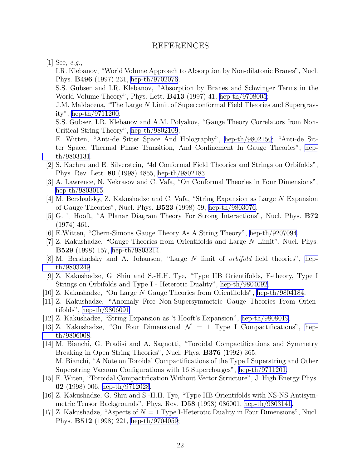# REFERENCES

<span id="page-21-0"></span> $|1|$  See, e.g.,

I.R. Klebanov, "World Volume Approach to Absorption by Non-dilatonic Branes", Nucl. Phys. B496 (1997) 231, [hep-th/9702076](http://arxiv.org/abs/hep-th/9702076);

S.S. Gubser and I.R. Klebanov, "Absorption by Branes and Schwinger Terms in the World Volume Theory", Phys. Lett. B413 (1997) 41, [hep-th/9708005](http://arxiv.org/abs/hep-th/9708005);

J.M. Maldacena, "The Large N Limit of Superconformal Field Theories and Supergravity", [hep-th/9711200;](http://arxiv.org/abs/hep-th/9711200)

S.S. Gubser, I.R. Klebanov and A.M. Polyakov, "Gauge Theory Correlators from Non-Critical String Theory", [hep-th/9802109](http://arxiv.org/abs/hep-th/9802109);

E. Witten, "Anti-de Sitter Space And Holography", [hep-th/9802150;](http://arxiv.org/abs/hep-th/9802150) "Anti-de Sitter Space, Thermal Phase Transition, And Confinement In Gauge Theories", [hep](http://arxiv.org/abs/hep-th/9803131)[th/9803131](http://arxiv.org/abs/hep-th/9803131).

- [2] S. Kachru and E. Silverstein, "4d Conformal Field Theories and Strings on Orbifolds", Phys. Rev. Lett. 80 (1998) 4855, [hep-th/9802183.](http://arxiv.org/abs/hep-th/9802183)
- [3] A. Lawrence, N. Nekrasov and C. Vafa, "On Conformal Theories in Four Dimensions", [hep-th/9803015](http://arxiv.org/abs/hep-th/9803015).
- [4] M. Bershadsky, Z. Kakushadze and C. Vafa, "String Expansion as Large N Expansion of Gauge Theories", Nucl. Phys. B523 (1998) 59, [hep-th/9803076.](http://arxiv.org/abs/hep-th/9803076)
- [5] G. 't Hooft, "A Planar Diagram Theory For Strong Interactions", Nucl. Phys. B72 (1974) 461.
- [6] E.Witten, "Chern-Simons Gauge Theory As A String Theory", [hep-th/9207094](http://arxiv.org/abs/hep-th/9207094).
- [7] Z. Kakushadze, "Gauge Theories from Orientifolds and Large N Limit", Nucl. Phys. B529 (1998) 157, [hep-th/9803214](http://arxiv.org/abs/hep-th/9803214).
- [8] M. Bershadsky and A. Johansen, "Large N limit of orbifold field theories", [hep](http://arxiv.org/abs/hep-th/9803249)[th/9803249](http://arxiv.org/abs/hep-th/9803249).
- [9] Z. Kakushadze, G. Shiu and S.-H.H. Tye, "Type IIB Orientifolds, F-theory, Type I Strings on Orbifolds and Type I - Heterotic Duality", [hep-th/9804092.](http://arxiv.org/abs/hep-th/9804092)
- [10] Z. Kakushadze, "On Large N Gauge Theories from Orientifolds", [hep-th/9804184](http://arxiv.org/abs/hep-th/9804184).
- [11] Z. Kakushadze, "Anomaly Free Non-Supersymmetric Gauge Theories From Orientifolds", [hep-th/9806091](http://arxiv.org/abs/hep-th/9806091)
- [12] Z. Kakushadze, "String Expansion as 't Hooft's Expansion", [hep-th/9808019](http://arxiv.org/abs/hep-th/9808019).
- [13] Z. Kakushadze, "On Four Dimensional  $\mathcal{N} = 1$  Type I Compactifications", [hep](http://arxiv.org/abs/hep-th/9806008)[th/9806008](http://arxiv.org/abs/hep-th/9806008).
- [14] M. Bianchi, G. Pradisi and A. Sagnotti, "Toroidal Compactifications and Symmetry Breaking in Open String Theories", Nucl. Phys. **B376** (1992) 365; M. Bianchi, "A Note on Toroidal Compactifications of the Type I Superstring and Other Superstring Vacuum Configurations with 16 Supercharges", [hep-th/9711201.](http://arxiv.org/abs/hep-th/9711201)
- [15] E. Witen, "Toroidal Compactification Without Vector Structure", J. High Energy Phys. 02 (1998) 006, [hep-th/9712028.](http://arxiv.org/abs/hep-th/9712028)
- [16] Z. Kakushadze, G. Shiu and S.-H.H. Tye, "Type IIB Orientifolds with NS-NS Antisymmetric Tensor Backgrounds", Phys. Rev. D58 (1998) 086001, [hep-th/9803141](http://arxiv.org/abs/hep-th/9803141).
- [17] Z. Kakushadze, "Aspects of  $N = 1$  Type I-Heterotic Duality in Four Dimensions", Nucl. Phys. B512 (1998) 221, [hep-th/9704059](http://arxiv.org/abs/hep-th/9704059);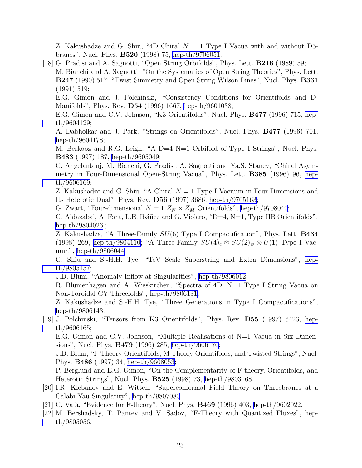<span id="page-22-0"></span>Z. Kakushadze and G. Shiu, "4D Chiral  $N = 1$  Type I Vacua with and without D5branes", Nucl. Phys. B520 (1998) 75, [hep-th/9706051](http://arxiv.org/abs/hep-th/9706051).

[18] G. Pradisi and A. Sagnotti, "Open String Orbifolds", Phys. Lett. B216 (1989) 59; M. Bianchi and A. Sagnotti, "On the Systematics of Open String Theories", Phys. Lett. B247 (1990) 517; "Twist Simmetry and Open String Wilson Lines", Nucl. Phys. B361 (1991) 519;

E.G. Gimon and J. Polchinski, "Consistency Conditions for Orientifolds and D-Manifolds", Phys. Rev. D54 (1996) 1667, [hep-th/9601038](http://arxiv.org/abs/hep-th/9601038);

E.G. Gimon and C.V. Johnson, "K3 Orientifolds", Nucl. Phys. B477 (1996) 715, [hep](http://arxiv.org/abs/hep-th/9604129)[th/9604129](http://arxiv.org/abs/hep-th/9604129);

A. Dabholkar and J. Park, "Strings on Orientifolds", Nucl. Phys. B477 (1996) 701, [hep-th/9604178](http://arxiv.org/abs/hep-th/9604178);

M. Berkooz and R.G. Leigh, "A  $D=4$  N=1 Orbifold of Type I Strings", Nucl. Phys. B483 (1997) 187, [hep-th/9605049](http://arxiv.org/abs/hep-th/9605049);

C. Angelantonj, M. Bianchi, G. Pradisi, A. Sagnotti and Ya.S. Stanev, "Chiral Asymmetry in Four-Dimensional Open-String Vacua", Phys. Lett. B385 (1996) 96, [hep](http://arxiv.org/abs/hep-th/9606169)[th/9606169](http://arxiv.org/abs/hep-th/9606169);

Z. Kakushadze and G. Shiu, "A Chiral  $N = 1$  Type I Vacuum in Four Dimensions and Its Heterotic Dual", Phys. Rev. D56 (1997) 3686, [hep-th/9705163](http://arxiv.org/abs/hep-th/9705163);

G. Zwart, "Four-dimensional  $N=1$   $Z_{N}\times Z_{M}$  Orientifolds", [hep-th/9708040;](http://arxiv.org/abs/hep-th/9708040)

G. Aldazabal, A. Font, L.E. Ibáñez and G. Violero, " $D=4$ ,  $N=1$ , Type IIB Orientifolds", [hep-th/9804026](http://arxiv.org/abs/hep-th/9804026).;

Z. Kakushadze, "A Three-Family SU(6) Type I Compactification", Phys. Lett. B434 (1998) 269, [hep-th/9804110;](http://arxiv.org/abs/hep-th/9804110) "A Three-Family  $SU(4)_c \otimes SU(2)_w \otimes U(1)$  Type I Vacuum", [hep-th/9806044](http://arxiv.org/abs/hep-th/9806044);

G. Shiu and S.-H.H. Tye, "TeV Scale Superstring and Extra Dimensions", [hep](http://arxiv.org/abs/hep-th/9805157)[th/9805157](http://arxiv.org/abs/hep-th/9805157);

J.D. Blum, "Anomaly Inflow at Singularities", [hep-th/9806012](http://arxiv.org/abs/hep-th/9806012);

R. Blumenhagen and A. Wisskirchen, "Spectra of 4D, N=1 Type I String Vacua on Non-Toroidal CY Threefolds", [hep-th/9806131;](http://arxiv.org/abs/hep-th/9806131)

Z. Kakushadze and S.-H.H. Tye, "Three Generations in Type I Compactifications", [hep-th/9806143](http://arxiv.org/abs/hep-th/9806143).

[19] J. Polchinski, "Tensors from K3 Orientifolds", Phys. Rev. D55 (1997) 6423, [hep](http://arxiv.org/abs/hep-th/9606165)[th/9606165](http://arxiv.org/abs/hep-th/9606165);

E.G. Gimon and C.V. Johnson, "Multiple Realisations of  $N=1$  Vacua in Six Dimensions", Nucl. Phys. B479 (1996) 285, [hep-th/9606176;](http://arxiv.org/abs/hep-th/9606176)

J.D. Blum, "F Theory Orientifolds, M Theory Orientifolds, and Twisted Strings", Nucl. Phys. B486 (1997) 34, [hep-th/9608053](http://arxiv.org/abs/hep-th/9608053);

P. Berglund and E.G. Gimon, "On the Complementarity of F-theory, Orientifolds, and Heterotic Strings", Nucl. Phys. B525 (1998) 73, [hep-th/9803168](http://arxiv.org/abs/hep-th/9803168).

- [20] I.R. Klebanov and E. Witten, "Superconformal Field Theory on Threebranes at a Calabi-Yau Singularity", [hep-th/9807080](http://arxiv.org/abs/hep-th/9807080).
- [21] C. Vafa, "Evidence for F-theory", Nucl. Phys. B469 (1996) 403, [hep-th/9602022](http://arxiv.org/abs/hep-th/9602022).
- [22] M. Bershadsky, T. Pantev and V. Sadov, "F-Theory with Quantized Fluxes", [hep](http://arxiv.org/abs/hep-th/9805056)[th/9805056](http://arxiv.org/abs/hep-th/9805056).